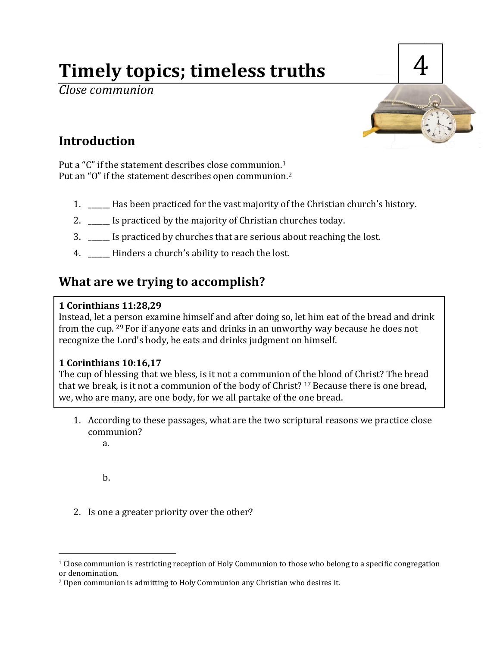# **Timely topics; timeless truths**

*Close communion*



# **Introduction**

Put a "C" if the statement describes close communion.<sup>1</sup> Put an "O" if the statement describes open communion.<sup>2</sup>

- 1. \_\_\_\_\_\_ Has been practiced for the vast majority of the Christian church's history.
- 2. Is practiced by the majority of Christian churches today.
- 3. \_\_\_\_\_\_ Is practiced by churches that are serious about reaching the lost.
- 4. \_\_\_\_\_\_ Hinders a church's ability to reach the lost.

# **What are we trying to accomplish?**

## **1 Corinthians 11:28,29**

Instead, let a person examine himself and after doing so, let him eat of the bread and drink from the cup. <sup>29</sup> For if anyone eats and drinks in an unworthy way because he does not recognize the Lord's body, he eats and drinks judgment on himself.

## **1 Corinthians 10:16,17**

The cup of blessing that we bless, is it not a communion of the blood of Christ? The bread that we break, is it not a communion of the body of Christ? <sup>17</sup> Because there is one bread, we, who are many, are one body, for we all partake of the one bread.

- 1. According to these passages, what are the two scriptural reasons we practice close communion?
	- a.

b.

l

2. Is one a greater priority over the other?

<sup>1</sup> Close communion is restricting reception of Holy Communion to those who belong to a specific congregation or denomination.

<sup>&</sup>lt;sup>2</sup> Open communion is admitting to Holy Communion any Christian who desires it.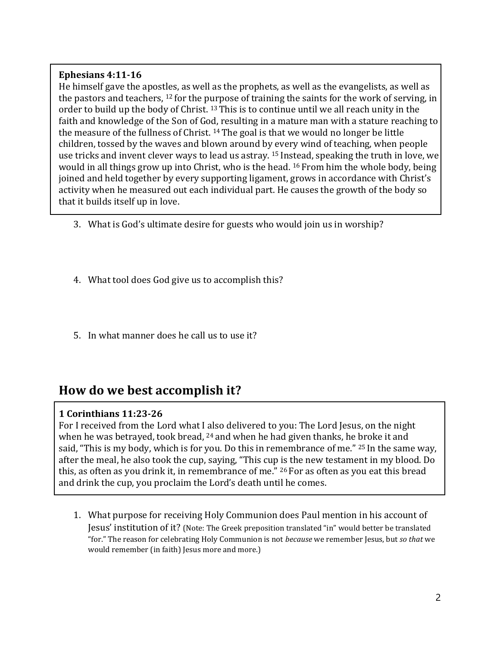#### **Ephesians 4:11-16**

He himself gave the apostles, as well as the prophets, as well as the evangelists, as well as the pastors and teachers,  $12$  for the purpose of training the saints for the work of serving, in order to build up the body of Christ. <sup>13</sup> This is to continue until we all reach unity in the faith and knowledge of the Son of God, resulting in a mature man with a stature reaching to the measure of the fullness of Christ. <sup>14</sup> The goal is that we would no longer be little children, tossed by the waves and blown around by every wind of teaching, when people use tricks and invent clever ways to lead us astray. <sup>15</sup> Instead, speaking the truth in love, we would in all things grow up into Christ, who is the head. <sup>16</sup> From him the whole body, being joined and held together by every supporting ligament, grows in accordance with Christ's activity when he measured out each individual part. He causes the growth of the body so that it builds itself up in love.

- 3. What is God's ultimate desire for guests who would join us in worship?
- 4. What tool does God give us to accomplish this?
- 5. In what manner does he call us to use it?

## **How do we best accomplish it?**

#### **1 Corinthians 11:23-26**

For I received from the Lord what I also delivered to you: The Lord Jesus, on the night when he was betrayed, took bread, <sup>24</sup> and when he had given thanks, he broke it and said, "This is my body, which is for you. Do this in remembrance of me." <sup>25</sup> In the same way, after the meal, he also took the cup, saying, "This cup is the new testament in my blood. Do this, as often as you drink it, in remembrance of me." <sup>26</sup> For as often as you eat this bread and drink the cup, you proclaim the Lord's death until he comes.

1. What purpose for receiving Holy Communion does Paul mention in his account of Jesus' institution of it? (Note: The Greek preposition translated "in" would better be translated "for." The reason for celebrating Holy Communion is not *because* we remember Jesus, but *so that* we would remember (in faith) Jesus more and more.)